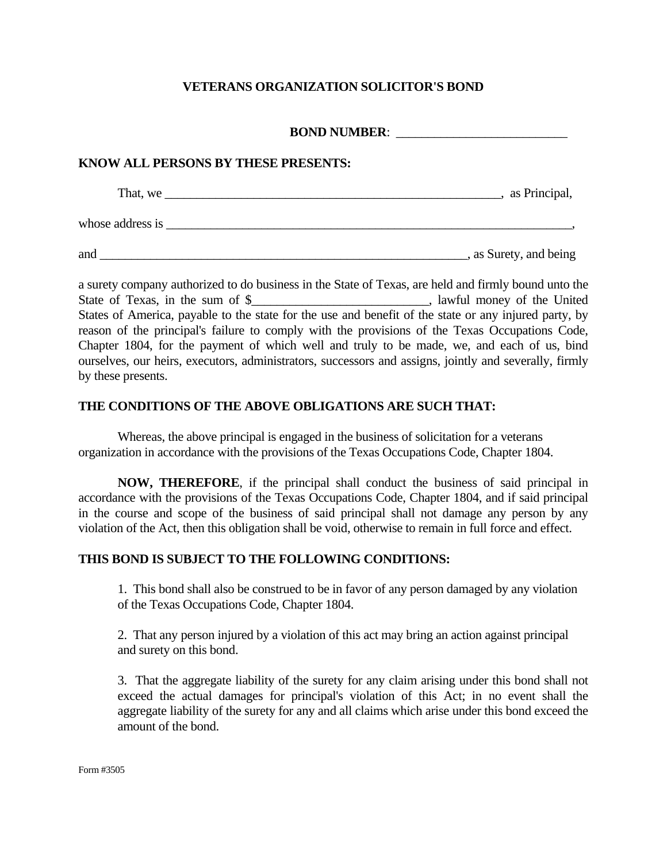# **VETERANS ORGANIZATION SOLICITOR'S BOND**

#### **BOND NUMBER:**

### **KNOW ALL PERSONS BY THESE PRESENTS:**

| That, we         | as Principal, |
|------------------|---------------|
| whose address is |               |
|                  | .             |

and \_\_\_\_\_\_\_\_\_\_\_\_\_\_\_\_\_\_\_\_\_\_\_\_\_\_\_\_\_\_\_\_\_\_\_\_\_\_\_\_\_\_\_\_\_\_\_\_\_\_\_\_\_\_\_\_\_\_, as Surety, and being

a surety company authorized to do business in the State of Texas, are held and firmly bound unto the State of Texas, in the sum of \$\_\_\_\_\_\_\_\_\_\_\_\_\_\_\_\_\_\_\_\_\_\_\_\_\_\_\_, lawful money of the United States of America, payable to the state for the use and benefit of the state or any injured party, by reason of the principal's failure to comply with the provisions of the Texas Occupations Code, Chapter 1804, for the payment of which well and truly to be made, we, and each of us, bind ourselves, our heirs, executors, administrators, successors and assigns, jointly and severally, firmly by these presents.

## **THE CONDITIONS OF THE ABOVE OBLIGATIONS ARE SUCH THAT:**

Whereas, the above principal is engaged in the business of solicitation for a veterans organization in accordance with the provisions of the Texas Occupations Code, Chapter 1804.

**NOW, THEREFORE**, if the principal shall conduct the business of said principal in accordance with the provisions of the Texas Occupations Code, Chapter 1804, and if said principal in the course and scope of the business of said principal shall not damage any person by any violation of the Act, then this obligation shall be void, otherwise to remain in full force and effect.

## **THIS BOND IS SUBJECT TO THE FOLLOWING CONDITIONS:**

1. This bond shall also be construed to be in favor of any person damaged by any violation of the Texas Occupations Code, Chapter 1804.

2. That any person injured by a violation of this act may bring an action against principal and surety on this bond.

3. That the aggregate liability of the surety for any claim arising under this bond shall not exceed the actual damages for principal's violation of this Act; in no event shall the aggregate liability of the surety for any and all claims which arise under this bond exceed the amount of the bond.